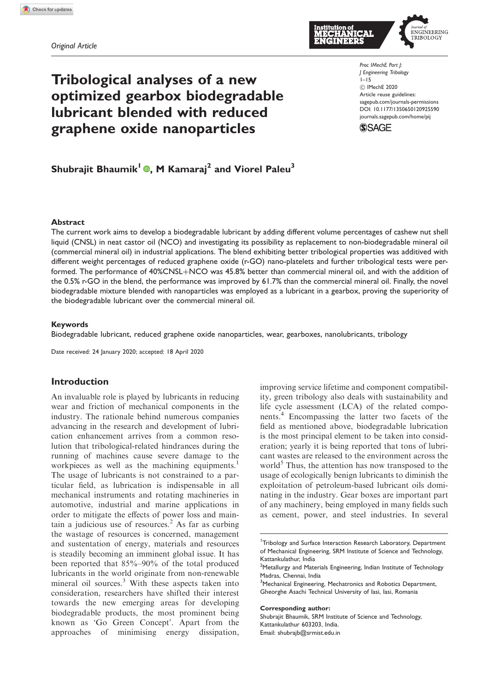# Tribological analyses of a new optimized gearbox biodegradable lubricant blended with reduced graphene oxide nanoparticles

Shubrajit Bhaumik<sup>1</sup> , M Kamaraj<sup>2</sup> and Viorel Paleu<sup>3</sup>



*Proc IMechE Part J: J Engineering Tribology* 1–15 C IMechE 2020 Article reuse guidelines: sagepub.com/journals-permissions DOI: 10.1177/1350650120925590 journals.sagepub.com/home/pij



## Abstract

The current work aims to develop a biodegradable lubricant by adding different volume percentages of cashew nut shell liquid (CNSL) in neat castor oil (NCO) and investigating its possibility as replacement to non-biodegradable mineral oil (commercial mineral oil) in industrial applications. The blend exhibiting better tribological properties was additived with different weight percentages of reduced graphene oxide (r-GO) nano-platelets and further tribological tests were performed. The performance of 40%CNSL+NCO was 45.8% better than commercial mineral oil, and with the addition of the 0.5% r-GO in the blend, the performance was improved by 61.7% than the commercial mineral oil. Finally, the novel biodegradable mixture blended with nanoparticles was employed as a lubricant in a gearbox, proving the superiority of the biodegradable lubricant over the commercial mineral oil.

## Keywords

Biodegradable lubricant, reduced graphene oxide nanoparticles, wear, gearboxes, nanolubricants, tribology

Date received: 24 January 2020; accepted: 18 April 2020

## Introduction

An invaluable role is played by lubricants in reducing wear and friction of mechanical components in the industry. The rationale behind numerous companies advancing in the research and development of lubrication enhancement arrives from a common resolution that tribological-related hindrances during the running of machines cause severe damage to the workpieces as well as the machining equipments.<sup>1</sup> The usage of lubricants is not constrained to a particular field, as lubrication is indispensable in all mechanical instruments and rotating machineries in automotive, industrial and marine applications in order to mitigate the effects of power loss and maintain a judicious use of resources. $<sup>2</sup>$  As far as curbing</sup> the wastage of resources is concerned, management and sustentation of energy, materials and resources is steadily becoming an imminent global issue. It has been reported that 85%–90% of the total produced lubricants in the world originate from non-renewable mineral oil sources. $3$  With these aspects taken into consideration, researchers have shifted their interest towards the new emerging areas for developing biodegradable products, the most prominent being known as 'Go Green Concept'. Apart from the approaches of minimising energy dissipation,

improving service lifetime and component compatibility, green tribology also deals with sustainability and life cycle assessment (LCA) of the related components.<sup>4</sup> Encompassing the latter two facets of the field as mentioned above, biodegradable lubrication is the most principal element to be taken into consideration; yearly it is being reported that tons of lubricant wastes are released to the environment across the world<sup>5</sup> Thus, the attention has now transposed to the usage of ecologically benign lubricants to diminish the exploitation of petroleum-based lubricant oils dominating in the industry. Gear boxes are important part of any machinery, being employed in many fields such as cement, power, and steel industries. In several

#### Corresponding author:

Shubrajit Bhaumik, SRM Institute of Science and Technology, Kattankulathur 603203, India. Email: shubrajb@srmist.edu.in

<sup>&</sup>lt;sup>1</sup>Tribology and Surface Interaction Research Laboratory, Department of Mechanical Engineering, SRM Institute of Science and Technology, Kattankulathur, India

<sup>&</sup>lt;sup>2</sup>Metallurgy and Materials Engineering, Indian Institute of Technology Madras, Chennai, India

<sup>&</sup>lt;sup>3</sup>Mechanical Engineering, Mechatronics and Robotics Department, Gheorghe Asachi Technical University of Iasi, Iasi, Romania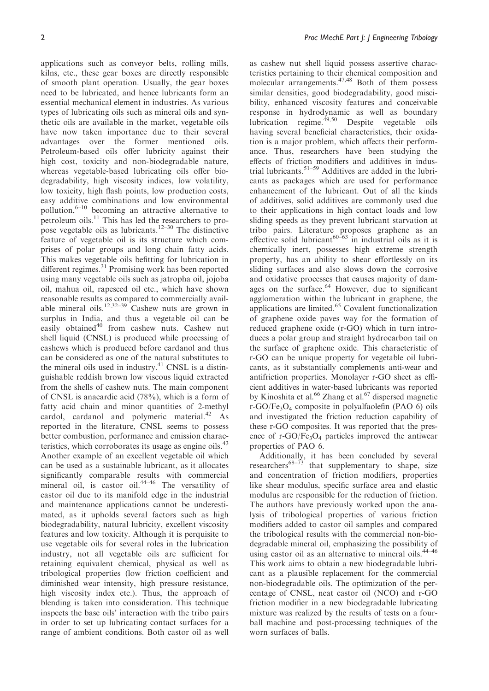applications such as conveyor belts, rolling mills, kilns, etc., these gear boxes are directly responsible of smooth plant operation. Usually, the gear boxes need to be lubricated, and hence lubricants form an essential mechanical element in industries. As various types of lubricating oils such as mineral oils and synthetic oils are available in the market, vegetable oils have now taken importance due to their several advantages over the former mentioned oils. Petroleum-based oils offer lubricity against their high cost, toxicity and non-biodegradable nature, whereas vegetable-based lubricating oils offer biodegradability, high viscosity indices, low volatility, low toxicity, high flash points, low production costs, easy additive combinations and low environmental pollution, $6-10$  becoming an attractive alternative to petroleum oils.<sup>11</sup> This has led the researchers to propose vegetable oils as lubricants.<sup>12–30</sup> The distinctive feature of vegetable oil is its structure which comprises of polar groups and long chain fatty acids. This makes vegetable oils befitting for lubrication in different regimes.<sup>31</sup> Promising work has been reported using many vegetable oils such as jatropha oil, jojoba oil, mahua oil, rapeseed oil etc., which have shown reasonable results as compared to commercially available mineral oils.<sup>12,32–39</sup> Cashew nuts are grown in surplus in India, and thus a vegetable oil can be easily obtained<sup>40</sup> from cashew nuts. Cashew nut shell liquid (CNSL) is produced while processing of cashews which is produced before cardanol and thus can be considered as one of the natural substitutes to the mineral oils used in industry. $41$  CNSL is a distinguishable reddish brown low viscous liquid extracted from the shells of cashew nuts. The main component of CNSL is anacardic acid (78%), which is a form of fatty acid chain and minor quantities of 2-methyl cardol, cardanol and polymeric material. $42$  As reported in the literature, CNSL seems to possess better combustion, performance and emission characteristics, which corroborates its usage as engine oils.<sup>43</sup> Another example of an excellent vegetable oil which can be used as a sustainable lubricant, as it allocates significantly comparable results with commercial mineral oil, is castor oil.44–46 The versatility of castor oil due to its manifold edge in the industrial and maintenance applications cannot be underestimated, as it upholds several factors such as high biodegradability, natural lubricity, excellent viscosity features and low toxicity. Although it is perquisite to use vegetable oils for several roles in the lubrication industry, not all vegetable oils are sufficient for retaining equivalent chemical, physical as well as tribological properties (low friction coefficient and diminished wear intensity, high pressure resistance, high viscosity index etc.). Thus, the approach of blending is taken into consideration. This technique inspects the base oils' interaction with the tribo pairs in order to set up lubricating contact surfaces for a range of ambient conditions. Both castor oil as well

as cashew nut shell liquid possess assertive characteristics pertaining to their chemical composition and molecular arrangements. $47,48$  Both of them possess similar densities, good biodegradability, good miscibility, enhanced viscosity features and conceivable response in hydrodynamic as well as boundary lubrication regime. $^{49,50}$  Despite vegetable oils having several beneficial characteristics, their oxidation is a major problem, which affects their performance. Thus, researchers have been studying the effects of friction modifiers and additives in industrial lubricants.51–59 Additives are added in the lubricants as packages which are used for performance enhancement of the lubricant. Out of all the kinds of additives, solid additives are commonly used due to their applications in high contact loads and low sliding speeds as they prevent lubricant starvation at tribo pairs. Literature proposes graphene as an effective solid lubricant<sup>60–63</sup> in industrial oils as it is chemically inert, possesses high extreme strength property, has an ability to shear effortlessly on its sliding surfaces and also slows down the corrosive and oxidative processes that causes majority of damages on the surface. $64$  However, due to significant agglomeration within the lubricant in graphene, the applications are limited.<sup>65</sup> Covalent functionalization of graphene oxide paves way for the formation of reduced graphene oxide (r-GO) which in turn introduces a polar group and straight hydrocarbon tail on the surface of graphene oxide. This characteristic of r-GO can be unique property for vegetable oil lubricants, as it substantially complements anti-wear and antifriction properties. Monolayer r-GO sheet as efficient additives in water-based lubricants was reported by Kinoshita et al.<sup>66</sup> Zhang et al.<sup>67</sup> dispersed magnetic r-GO/Fe3O<sup>4</sup> composite in polyalfaolefin (PAO 6) oils and investigated the friction reduction capability of these r-GO composites. It was reported that the presence of  $r$ -GO/Fe<sub>3</sub>O<sub>4</sub> particles improved the antiwear properties of PAO 6.

Additionally, it has been concluded by several researchers<sup>68–73</sup> that supplementary to shape, size and concentration of friction modifiers, properties like shear modulus, specific surface area and elastic modulus are responsible for the reduction of friction. The authors have previously worked upon the analysis of tribological properties of various friction modifiers added to castor oil samples and compared the tribological results with the commercial non-biodegradable mineral oil, emphasizing the possibility of using castor oil as an alternative to mineral oils. $44-46$ This work aims to obtain a new biodegradable lubricant as a plausible replacement for the commercial non-biodegradable oils. The optimization of the percentage of CNSL, neat castor oil (NCO) and r-GO friction modifier in a new biodegradable lubricating mixture was realized by the results of tests on a fourball machine and post-processing techniques of the worn surfaces of balls.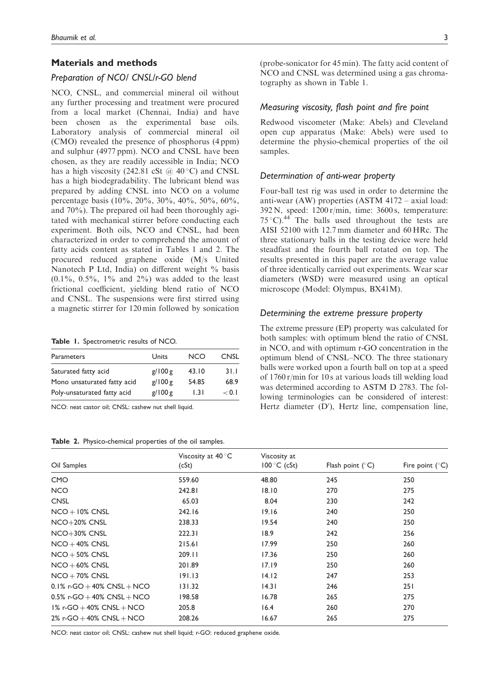## Materials and methods

# *Preparation of NCO/ CNSL/r-GO blend*

NCO, CNSL, and commercial mineral oil without any further processing and treatment were procured from a local market (Chennai, India) and have been chosen as the experimental base oils. Laboratory analysis of commercial mineral oil (CMO) revealed the presence of phosphorus (4 ppm) and sulphur (4977 ppm). NCO and CNSL have been chosen, as they are readily accessible in India; NCO has a high viscosity (242.81 cSt  $@$  40 °C) and CNSL has a high biodegradability. The lubricant blend was prepared by adding CNSL into NCO on a volume percentage basis (10%, 20%, 30%, 40%, 50%, 60%, and 70%). The prepared oil had been thoroughly agitated with mechanical stirrer before conducting each experiment. Both oils, NCO and CNSL, had been characterized in order to comprehend the amount of fatty acids content as stated in Tables 1 and 2. The procured reduced graphene oxide (M/s United Nanotech P Ltd, India) on different weight % basis  $(0.1\%, 0.5\%, 1\%$  and  $2\%)$  was added to the least frictional coefficient, yielding blend ratio of NCO and CNSL. The suspensions were first stirred using a magnetic stirrer for 120 min followed by sonication

Table 1. Spectrometric results of NCO.

| Parameters                  | Units   | <b>NCO</b> | CNSL  |
|-----------------------------|---------|------------|-------|
| Saturated fatty acid        | g/100 g | 43.10      | 31.1  |
| Mono unsaturated fatty acid | g/100g  | 54.85      | 68.9  |
| Poly-unsaturated fatty acid | g/100 g | 1.31       | < 0.1 |

NCO: neat castor oil; CNSL: cashew nut shell liquid.

Table 2. Physico-chemical properties of the oil samples.

(probe-sonicator for 45 min). The fatty acid content of NCO and CNSL was determined using a gas chromatography as shown in Table 1.

# *Measuring viscosity, flash point and fire point*

Redwood viscometer (Make: Abels) and Cleveland open cup apparatus (Make: Abels) were used to determine the physio-chemical properties of the oil samples.

# *Determination of anti-wear property*

Four-ball test rig was used in order to determine the anti-wear (AW) properties (ASTM 4172 – axial load: 392 N, speed: 1200 r/min, time: 3600 s, temperature:  $75^{\circ}$ C). <sup>44</sup> The balls used throughout the tests are AISI 52100 with 12.7 mm diameter and 60 HRc. The three stationary balls in the testing device were held steadfast and the fourth ball rotated on top. The results presented in this paper are the average value of three identically carried out experiments. Wear scar diameters (WSD) were measured using an optical microscope (Model: Olympus, BX41M).

## *Determining the extreme pressure property*

The extreme pressure (EP) property was calculated for both samples: with optimum blend the ratio of CNSL in NCO, and with optimum r-GO concentration in the optimum blend of CNSL–NCO. The three stationary balls were worked upon a fourth ball on top at a speed of 1760 r/min for 10 s at various loads till welding load was determined according to ASTM D 2783. The following terminologies can be considered of interest: Hertz diameter  $(D')$ , Hertz line, compensation line,

| Oil Samples                     | Viscosity at $40^{\circ}$ C<br>(cSt) | Viscosity at<br>$100^{\circ}$ C (cSt) | Flash point $(^{\circ}C)$ | Fire point $(^{\circ}C)$ |  |
|---------------------------------|--------------------------------------|---------------------------------------|---------------------------|--------------------------|--|
| <b>CMO</b>                      | 559.60                               | 48.80                                 | 245                       | 250                      |  |
| <b>NCO</b>                      | 242.81                               | 18.10                                 | 270                       | 275                      |  |
| <b>CNSL</b>                     | 65.03                                | 8.04                                  | 230                       | 242                      |  |
| $NCO + 10\%$ CNSL               | 242.16                               | 19.16                                 | 240                       | 250                      |  |
| $NCO+20%$ CNSL                  | 238.33                               | 19.54                                 | 240                       | 250                      |  |
| $NCO+30\%$ CNSL                 | 222.31                               | 18.9                                  | 242                       | 256                      |  |
| $NCO + 40\%$ CNSL               | 215.61                               | 17.99                                 | 250                       | 260                      |  |
| $NCO + 50\%$ CNSL               | 209.11                               | 17.36                                 | 250                       | 260                      |  |
| $NCO + 60\%$ CNSL               | 201.89                               | 17.19                                 | 250                       | 260                      |  |
| $NCO + 70\%$ CNSL               | 191.13                               | 14.12                                 | 247                       | 253                      |  |
| $0.1\%$ r-GO + 40% CNSL + NCO   | 131.32                               | 14.31                                 | 246                       | 251                      |  |
| $0.5\%$ r-GO + 40% CNSL + NCO   | 198.58                               | 16.78                                 | 265                       | 275                      |  |
| $1\%$ r-GO $+$ 40% CNSL $+$ NCO | 205.8                                | 16.4                                  | 260                       | 270                      |  |
| 2% r-GO $+$ 40% CNSL $+$ NCO    | 208.26                               | 16.67                                 | 265                       | 275                      |  |
|                                 |                                      |                                       |                           |                          |  |

NCO: neat castor oil; CNSL: cashew nut shell liquid; r-GO: reduced graphene oxide.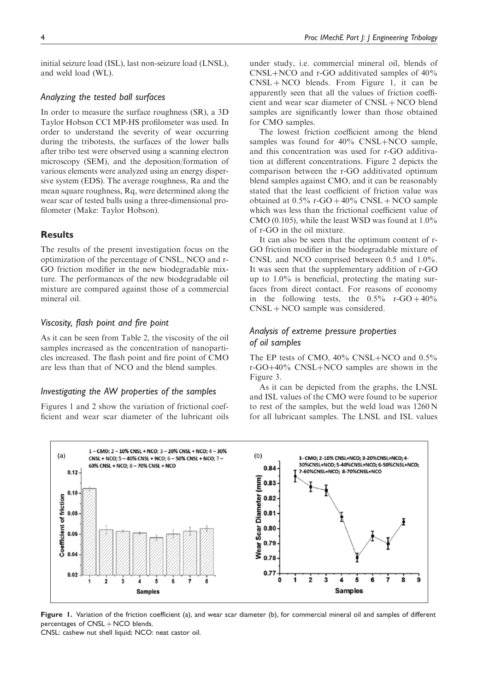initial seizure load (ISL), last non-seizure load (LNSL), and weld load (WL).

# *Analyzing the tested ball surfaces*

In order to measure the surface roughness (SR), a 3D Taylor Hobson CCI MP-HS profilometer was used. In order to understand the severity of wear occurring during the tribotests, the surfaces of the lower balls after tribo test were observed using a scanning electron microscopy (SEM), and the deposition/formation of various elements were analyzed using an energy dispersive system (EDS). The average roughness, Ra and the mean square roughness, Rq, were determined along the wear scar of tested balls using a three-dimensional profilometer (Make: Taylor Hobson).

## **Results**

The results of the present investigation focus on the optimization of the percentage of CNSL, NCO and r-GO friction modifier in the new biodegradable mixture. The performances of the new biodegradable oil mixture are compared against those of a commercial mineral oil.

# *Viscosity, flash point and fire point*

As it can be seen from Table 2, the viscosity of the oil samples increased as the concentration of nanoparticles increased. The flash point and fire point of CMO are less than that of NCO and the blend samples.

# *Investigating the AW properties of the samples*

Figures 1 and 2 show the variation of frictional coefficient and wear scar diameter of the lubricant oils under study, i.e. commercial mineral oil, blends of  $CNSL+NCO$  and r-GO additivated samples of  $40\%$  $CNSL + NCO$  blends. From Figure 1, it can be apparently seen that all the values of friction coefficient and wear scar diameter of  $CNSL + NCO$  blend samples are significantly lower than those obtained for CMO samples.

The lowest friction coefficient among the blend samples was found for  $40\%$  CNSL+NCO sample, and this concentration was used for r-GO additivation at different concentrations. Figure 2 depicts the comparison between the r-GO additivated optimum blend samples against CMO, and it can be reasonably stated that the least coefficient of friction value was obtained at  $0.5\%$  r-GO  $+40\%$  CNSL  $+$  NCO sample which was less than the frictional coefficient value of CMO (0.105), while the least WSD was found at 1.0% of r-GO in the oil mixture.

It can also be seen that the optimum content of r-GO friction modifier in the biodegradable mixture of CNSL and NCO comprised between 0.5 and 1.0%. It was seen that the supplementary addition of r-GO up to 1.0% is beneficial, protecting the mating surfaces from direct contact. For reasons of economy in the following tests, the  $0.5\%$  r-GO +  $40\%$  $CNSL + NCO$  sample was considered.

# *Analysis of extreme pressure properties of oil samples*

The EP tests of CMO,  $40\%$  CNSL+NCO and  $0.5\%$ r-GO+40% CNSL+NCO samples are shown in the Figure 3.

As it can be depicted from the graphs, the LNSL and ISL values of the CMO were found to be superior to rest of the samples, but the weld load was 1260 N for all lubricant samples. The LNSL and ISL values



Figure 1. Variation of the friction coefficient (a), and wear scar diameter (b), for commercial mineral oil and samples of different percentages of  $CNSL + NCO$  blends.

CNSL: cashew nut shell liquid; NCO: neat castor oil.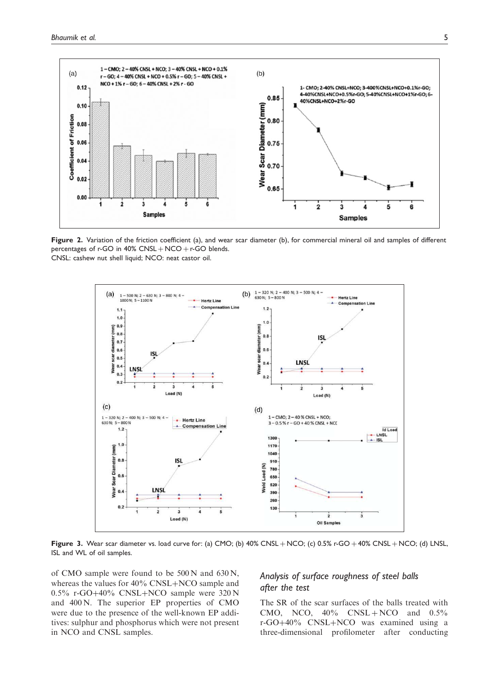

Figure 2. Variation of the friction coefficient (a), and wear scar diameter (b), for commercial mineral oil and samples of different percentages of  $r$ -GO in  $40\%$  CNSL  $+$  NCO  $+$   $r$ -GO blends. CNSL: cashew nut shell liquid; NCO: neat castor oil.



Figure 3. Wear scar diameter vs. load curve for: (a) CMO; (b)  $40\%$  CNSL  $+$  NCO; (c)  $0.5\%$  r-GO  $+40\%$  CNSL  $+$  NCO; (d) LNSL, ISL and WL of oil samples.

of CMO sample were found to be 500 N and 630 N, whereas the values for  $40\%$  CNSL+NCO sample and  $0.5\%$  r-GO+40% CNSL+NCO sample were 320 N and 400 N. The superior EP properties of CMO were due to the presence of the well-known EP additives: sulphur and phosphorus which were not present in NCO and CNSL samples.

# *Analysis of surface roughness of steel balls after the test*

The SR of the scar surfaces of the balls treated with CMO, NCO,  $40\%$  CNSL + NCO and  $0.5\%$ r-GO+40% CNSL+NCO was examined using a three-dimensional profilometer after conducting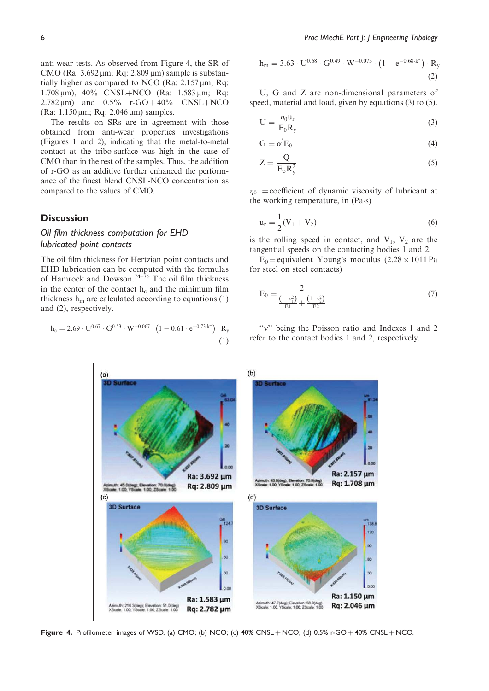anti-wear tests. As observed from Figure 4, the SR of CMO (Ra:  $3.692 \mu m$ ; Rq:  $2.809 \mu m$ ) sample is substantially higher as compared to NCO (Ra:  $2.157 \,\mu m$ ; Rq: 1.708 μm), 40% CNSL+NCO (Ra: 1.583 μm; Rq:  $2.782 \,\mu m$ ) and  $0.5\%$  r-GO + 40% CNSL + NCO (Ra:  $1.150 \,\mu m$ ; Rq:  $2.046 \,\mu m$ ) samples.

The results on SRs are in agreement with those obtained from anti-wear properties investigations (Figures 1 and 2), indicating that the metal-to-metal contact at the tribo-surface was high in the case of CMO than in the rest of the samples. Thus, the addition of r-GO as an additive further enhanced the performance of the finest blend CNSL-NCO concentration as compared to the values of CMO.

## **Discussion**

# *Oil film thickness computation for EHD lubricated point contacts*

The oil film thickness for Hertzian point contacts and EHD lubrication can be computed with the formulas of Hamrock and Dowson.<sup>74–76</sup> The oil film thickness in the center of the contact  $h_c$  and the minimum film thickness  $h_m$  are calculated according to equations (1) and (2), respectively.

$$
h_c = 2.69 \cdot U^{0.67} \cdot G^{0.53} \cdot W^{-0.067} \cdot (1 - 0.61 \cdot e^{-0.73 \cdot k^*}) \cdot R_y
$$

$$
(1)
$$

$$
h_m = 3.63 \cdot U^{0.68} \cdot G^{0.49} \cdot W^{-0.073} \cdot \left(1 - e^{-0.68 \cdot k^*}\right) \cdot R_y \tag{2}
$$

U, G and Z are non-dimensional parameters of speed, material and load, given by equations (3) to (5).

$$
U = \frac{\eta_0 u_r}{E_0 R_y} \tag{3}
$$

$$
G = \alpha^{'} E_0 \tag{4}
$$

$$
Z = \frac{Q}{E_0 R_y^2} \tag{5}
$$

 $\eta_0$  = coefficient of dynamic viscosity of lubricant at the working temperature, in (Pa·s)

$$
u_r = \frac{1}{2}(V_1 + V_2)
$$
 (6)

is the rolling speed in contact, and  $V_1$ ,  $V_2$  are the tangential speeds on the contacting bodies 1 and 2;

 $E_0$  = equivalent Young's modulus (2.28  $\times$  1011 Pa for steel on steel contacts)

$$
E_0 = \frac{2}{\frac{(1-v_1^2)}{E_1} + \frac{(1-v_2^2)}{E_2}}
$$
\n(7)

"v" being the Poisson ratio and Indexes 1 and 2 refer to the contact bodies 1 and 2, respectively.



Figure 4. Profilometer images of WSD, (a) CMO; (b) NCO; (c)  $40\%$  CNSL + NCO; (d) 0.5% r-GO + 40% CNSL + NCO.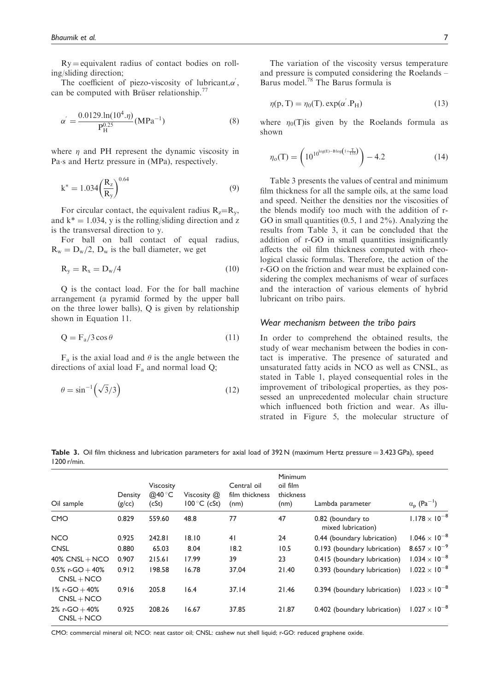$Ry =$  equivalent radius of contact bodies on rolling/sliding direction;

The coefficient of piezo-viscosity of lubricant, $\alpha'$ , can be computed with Brüser relationship.<sup>77</sup>

$$
\alpha^{'} = \frac{0.0129 \cdot \ln(10^4 \cdot \eta)}{P_H^{0.25}} (\text{MPa}^{-1})
$$
(8)

where  $\eta$  and PH represent the dynamic viscosity in Pa $\cdot$ s and Hertz pressure in (MPa), respectively.

$$
k^* = 1.034 \left(\frac{R_z}{R_y}\right)^{0.64} \tag{9}
$$

For circular contact, the equivalent radius  $R_z=R_y$ , and  $k^* = 1.034$ , y is the rolling/sliding direction and z is the transversal direction to y.

For ball on ball contact of equal radius,  $R_w = D_w/2$ ,  $D_w$  is the ball diameter, we get

$$
R_y = R_x = D_w/4 \tag{10}
$$

Q is the contact load. For the for ball machine arrangement (a pyramid formed by the upper ball on the three lower balls), Q is given by relationship shown in Equation 11.

$$
Q = F_a / 3 \cos \theta \tag{11}
$$

 $F_a$  is the axial load and  $\theta$  is the angle between the directions of axial load  $F_a$  and normal load Q;

$$
\theta = \sin^{-1}\left(\sqrt{3}/3\right) \tag{12}
$$

The variation of the viscosity versus temperature and pressure is computed considering the Roelands – Barus model.<sup>78</sup> The Barus formula is

$$
\eta(p, T) = \eta_0(T) . exp(\alpha'.P_H)
$$
\n(13)

where  $\eta_0(T)$  is given by the Roelands formula as shown

$$
\eta_o(T) = \left(10^{10^{\log(E) - \text{Blog}\left(1 + \frac{T}{135}\right)}}\right) - 4.2\tag{14}
$$

Table 3 presents the values of central and minimum film thickness for all the sample oils, at the same load and speed. Neither the densities nor the viscosities of the blends modify too much with the addition of r-GO in small quantities (0.5, 1 and 2%). Analyzing the results from Table 3, it can be concluded that the addition of r-GO in small quantities insignificantly affects the oil film thickness computed with rheological classic formulas. Therefore, the action of the r-GO on the friction and wear must be explained considering the complex mechanisms of wear of surfaces and the interaction of various elements of hybrid lubricant on tribo pairs.

## *Wear mechanism between the tribo pairs*

In order to comprehend the obtained results, the study of wear mechanism between the bodies in contact is imperative. The presence of saturated and unsaturated fatty acids in NCO as well as CNSL, as stated in Table 1, played consequential roles in the improvement of tribological properties, as they possessed an unprecedented molecular chain structure which influenced both friction and wear. As illustrated in Figure 5, the molecular structure of

Table 3. Oil film thickness and lubrication parameters for axial load of  $392\text{ N}$  (maximum Hertz pressure = 3.423 GPa), speed 1200 r/min.

| Oil sample                         | Density<br>(g/cc) | <b>Viscosity</b><br>@40 $\degree$ C<br>(cSt) | Viscosity $(2)$<br>$100^{\circ}$ C (cSt) | Central oil<br>film thickness<br>(nm) | <b>Minimum</b><br>oil film<br>thickness<br>(nm) | Lambda parameter                        | $\alpha_{\rm p}$ (Pa <sup>-1</sup> ) |
|------------------------------------|-------------------|----------------------------------------------|------------------------------------------|---------------------------------------|-------------------------------------------------|-----------------------------------------|--------------------------------------|
| <b>CMO</b>                         | 0.829             | 559.60                                       | 48.8                                     | 77                                    | 47                                              | 0.82 (boundary to<br>mixed lubrication) | $1.178 \times 10^{-8}$               |
| <b>NCO</b>                         | 0.925             | 242.81                                       | 18.10                                    | 41                                    | 24                                              | 0.44 (boundary lubrication)             | $1.046 \times 10^{-8}$               |
| <b>CNSL</b>                        | 0.880             | 65.03                                        | 8.04                                     | 18.2                                  | 10.5                                            | 0.193 (boundary lubrication)            | $8.657 \times 10^{-9}$               |
| $40\%$ CNSL + NCO                  | 0.907             | 215.61                                       | 17.99                                    | 39                                    | 23                                              | 0.415 (boundary lubrication)            | $1.034 \times 10^{-8}$               |
| $0.5\%$ r-GO + 40%<br>$CNSL + NCO$ | 0.912             | 198.58                                       | 16.78                                    | 37.04                                 | 21.40                                           | 0.393 (boundary lubrication)            | $1.022 \times 10^{-8}$               |
| $1\%$ r-GO + 40%<br>$CNSL + NCO$   | 0.916             | 205.8                                        | 16.4                                     | 37.14                                 | 21.46                                           | 0.394 (boundary lubrication)            | $1.023 \times 10^{-8}$               |
| 2% r-GO $+$ 40%<br>$CNSL + NCO$    | 0.925             | 208.26                                       | 16.67                                    | 37.85                                 | 21.87                                           | 0.402 (boundary lubrication)            | $1.027 \times 10^{-8}$               |
|                                    |                   |                                              |                                          |                                       |                                                 |                                         |                                      |

CMO: commercial mineral oil; NCO: neat castor oil; CNSL: cashew nut shell liquid; r-GO: reduced graphene oxide.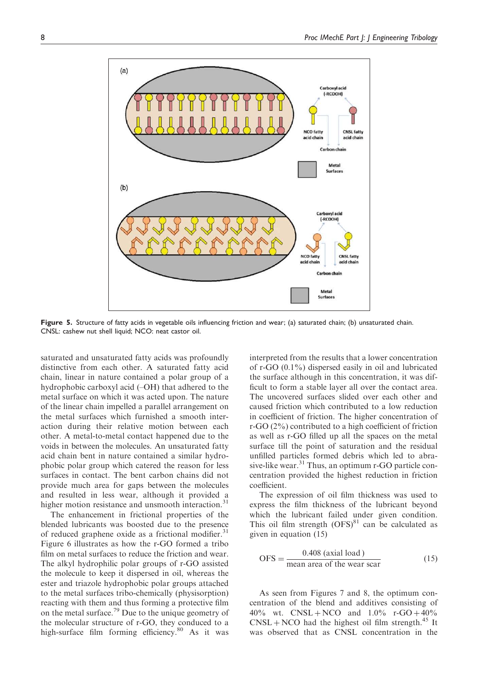

Figure 5. Structure of fatty acids in vegetable oils influencing friction and wear; (a) saturated chain; (b) unsaturated chain. CNSL: cashew nut shell liquid; NCO: neat castor oil.

saturated and unsaturated fatty acids was profoundly distinctive from each other. A saturated fatty acid chain, linear in nature contained a polar group of a hydrophobic carboxyl acid (–OH) that adhered to the metal surface on which it was acted upon. The nature of the linear chain impelled a parallel arrangement on the metal surfaces which furnished a smooth interaction during their relative motion between each other. A metal-to-metal contact happened due to the voids in between the molecules. An unsaturated fatty acid chain bent in nature contained a similar hydrophobic polar group which catered the reason for less surfaces in contact. The bent carbon chains did not provide much area for gaps between the molecules and resulted in less wear, although it provided a higher motion resistance and unsmooth interaction.<sup>31</sup>

The enhancement in frictional properties of the blended lubricants was boosted due to the presence of reduced graphene oxide as a frictional modifier.<sup>31</sup> Figure 6 illustrates as how the r-GO formed a tribo film on metal surfaces to reduce the friction and wear. The alkyl hydrophilic polar groups of r-GO assisted the molecule to keep it dispersed in oil, whereas the ester and triazole hydrophobic polar groups attached to the metal surfaces tribo-chemically (physisorption) reacting with them and thus forming a protective film on the metal surface.<sup>79</sup> Due to the unique geometry of the molecular structure of r-GO, they conduced to a high-surface film forming efficiency.<sup>80</sup> As it was interpreted from the results that a lower concentration of r-GO (0.1%) dispersed easily in oil and lubricated the surface although in this concentration, it was difficult to form a stable layer all over the contact area. The uncovered surfaces slided over each other and caused friction which contributed to a low reduction in coefficient of friction. The higher concentration of r-GO (2%) contributed to a high coefficient of friction as well as r-GO filled up all the spaces on the metal surface till the point of saturation and the residual unfilled particles formed debris which led to abrasive-like wear.<sup>31</sup> Thus, an optimum r-GO particle concentration provided the highest reduction in friction coefficient.

The expression of oil film thickness was used to express the film thickness of the lubricant beyond which the lubricant failed under given condition. This oil film strength  $(OFS)^{81}$  can be calculated as given in equation (15)

$$
OFS = \frac{0.408 \text{ (axial load)}}{\text{mean area of the wear scar}}\tag{15}
$$

As seen from Figures 7 and 8, the optimum concentration of the blend and additives consisting of 40% wt.  $CNSL + NCO$  and  $1.0\%$  r-GO + 40%  $CNSL + NCO$  had the highest oil film strength.<sup>45</sup> It was observed that as CNSL concentration in the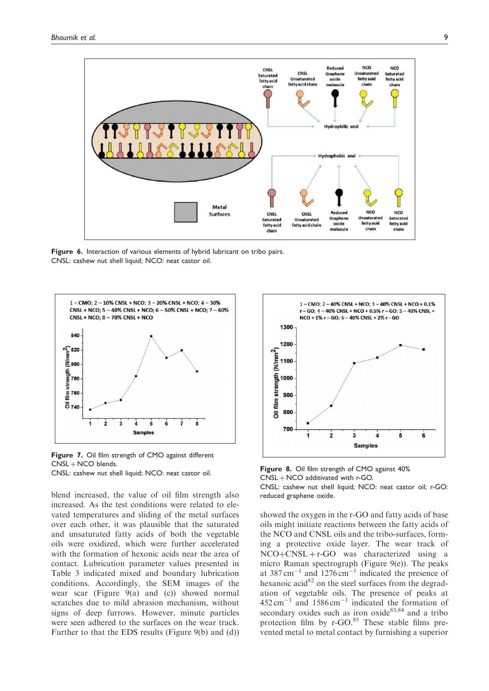

Figure 6. Interaction of various elements of hybrid lubricant on tribo pairs. CNSL: cashew nut shell liquid; NCO: neat castor oil.



Figure 7. Oil film strength of CMO against different  $CNSL + NCO$  blends. CNSL: cashew nut shell liquid; NCO: neat castor oil.

blend increased, the value of oil film strength also increased. As the test conditions were related to elevated temperatures and sliding of the metal surfaces over each other, it was plausible that the saturated and unsaturated fatty acids of both the vegetable oils were oxidized, which were further accelerated with the formation of hexonic acids near the area of contact. Lubrication parameter values presented in Table 3 indicated mixed and boundary lubrication conditions. Accordingly, the SEM images of the wear scar (Figure  $9(a)$  and (c)) showed normal scratches due to mild abrasion mechanism, without signs of deep furrows. However, minute particles were seen adhered to the surfaces on the wear track. Further to that the EDS results (Figure 9(b) and (d))



Figure 8. Oil film strength of CMO against 40%  $CNSL + NCO$  additivated with r-GO. CNSL: cashew nut shell liquid; NCO: neat castor oil; r-GO: reduced graphene oxide.

showed the oxygen in the r-GO and fatty acids of base oils might initiate reactions between the fatty acids of the NCO and CNSL oils and the tribo-surfaces, forming a protective oxide layer. The wear track of  $NCO + CNSL + r-GO$  was characterized using a micro Raman spectrograph (Figure 9(e)). The peaks at  $387 \text{ cm}^{-1}$  and  $1276 \text{ cm}^{-1}$  indicated the presence of hexanoic acid $^{82}$  on the steel surfaces from the degradation of vegetable oils. The presence of peaks at  $452 \text{ cm}^{-1}$  and  $1586 \text{ cm}^{-1}$  indicated the formation of secondary oxides such as iron oxide<sup>83,84</sup> and a tribo protection film by  $r$ -GO.<sup>85</sup> These stable films prevented metal to metal contact by furnishing a superior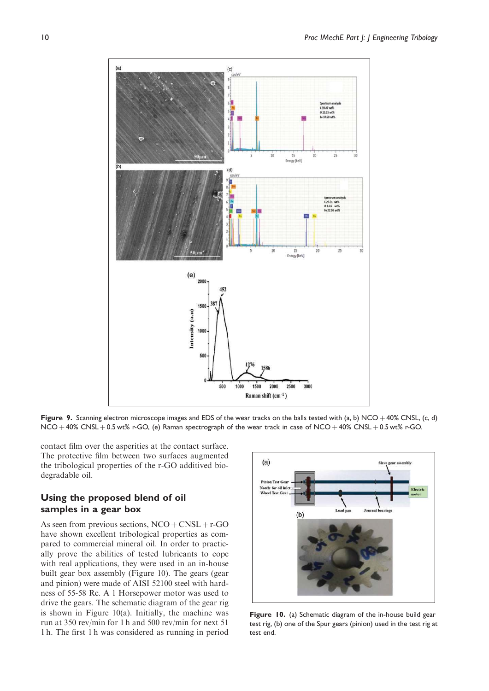

Figure 9. Scanning electron microscope images and EDS of the wear tracks on the balls tested with (a, b) NCO + 40% CNSL, (c, d)  $NCO + 40\%$  CNSL  $+0.5$  wt% r-GO, (e) Raman spectrograph of the wear track in case of  $NCO + 40\%$  CNSL  $+0.5$  wt% r-GO.

contact film over the asperities at the contact surface. The protective film between two surfaces augmented the tribological properties of the r-GO additived biodegradable oil.

# Using the proposed blend of oil samples in a gear box

As seen from previous sections,  $NCO + CNSL + r\text{-}GO$ have shown excellent tribological properties as compared to commercial mineral oil. In order to practically prove the abilities of tested lubricants to cope with real applications, they were used in an in-house built gear box assembly (Figure 10). The gears (gear and pinion) were made of AISI 52100 steel with hardness of 55-58 Rc. A 1 Horsepower motor was used to drive the gears. The schematic diagram of the gear rig is shown in Figure  $10(a)$ . Initially, the machine was run at 350 rev/min for 1 h and 500 rev/min for next 51 1 h. The first 1 h was considered as running in period



Figure 10. (a) Schematic diagram of the in-house build gear test rig, (b) one of the Spur gears (pinion) used in the test rig at test end.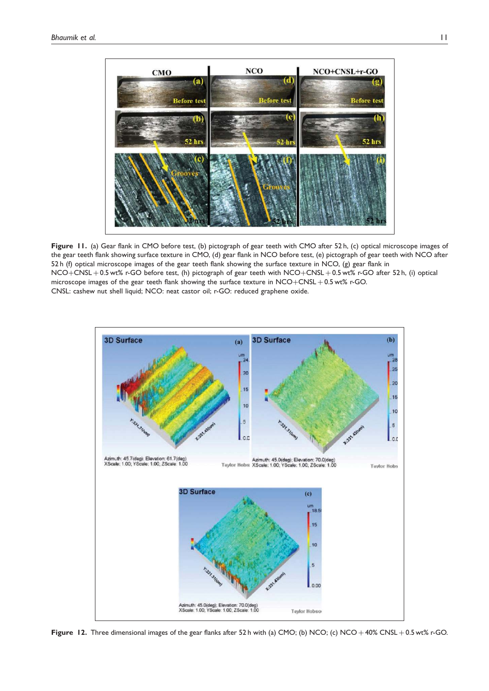

Figure 11. (a) Gear flank in CMO before test, (b) pictograph of gear teeth with CMO after 52 h, (c) optical microscope images of the gear teeth flank showing surface texture in CMO, (d) gear flank in NCO before test, (e) pictograph of gear teeth with NCO after 52 h (f) optical microscope images of the gear teeth flank showing the surface texture in NCO, (g) gear flank in NCO+CNSL + 0.5 wt% r-GO before test, (h) pictograph of gear teeth with NCO+CNSL + 0.5 wt% r-GO after 52 h, (i) optical microscope images of the gear teeth flank showing the surface texture in  $NCO + CNSL + 0.5$  wt% r-GO. CNSL: cashew nut shell liquid; NCO: neat castor oil; r-GO: reduced graphene oxide.



Figure 12. Three dimensional images of the gear flanks after 52 h with (a) CMO; (b) NCO; (c) NCO + 40% CNSL + 0.5 wt% r-GO.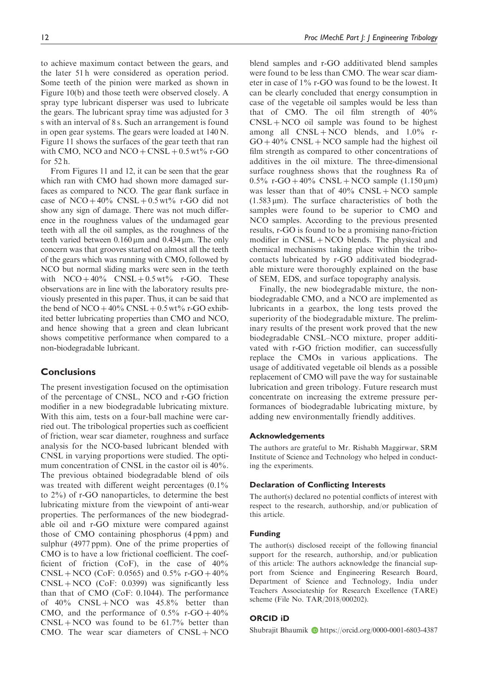to achieve maximum contact between the gears, and the later 51 h were considered as operation period. Some teeth of the pinion were marked as shown in Figure 10(b) and those teeth were observed closely. A spray type lubricant disperser was used to lubricate the gears. The lubricant spray time was adjusted for 3 s with an interval of 8 s. Such an arrangement is found in open gear systems. The gears were loaded at 140 N. Figure 11 shows the surfaces of the gear teeth that ran with CMO, NCO and  $NCO + CNSL + 0.5$  wt% r-GO for 52 h.

From Figures 11 and 12, it can be seen that the gear which ran with CMO had shown more damaged surfaces as compared to NCO. The gear flank surface in case of  $NCO + 40\%$  CNSL + 0.5 wt% r-GO did not show any sign of damage. There was not much difference in the roughness values of the undamaged gear teeth with all the oil samples, as the roughness of the teeth varied between  $0.160 \,\mathrm{\upmu m}$  and  $0.434 \,\mathrm{\upmu m}$ . The only concern was that grooves started on almost all the teeth of the gears which was running with CMO, followed by NCO but normal sliding marks were seen in the teeth with  $NCO + 40\%$   $CNSL + 0.5 \text{ wt\%}$  r-GO. These observations are in line with the laboratory results previously presented in this paper. Thus, it can be said that the bend of  $NCO + 40\%$  CNSL  $+ 0.5$  wt% r-GO exhibited better lubricating properties than CMO and NCO, and hence showing that a green and clean lubricant shows competitive performance when compared to a non-biodegradable lubricant.

# **Conclusions**

The present investigation focused on the optimisation of the percentage of CNSL, NCO and r-GO friction modifier in a new biodegradable lubricating mixture. With this aim, tests on a four-ball machine were carried out. The tribological properties such as coefficient of friction, wear scar diameter, roughness and surface analysis for the NCO-based lubricant blended with CNSL in varying proportions were studied. The optimum concentration of CNSL in the castor oil is 40%. The previous obtained biodegradable blend of oils was treated with different weight percentages  $(0.1\%)$ to 2%) of r-GO nanoparticles, to determine the best lubricating mixture from the viewpoint of anti-wear properties. The performances of the new biodegradable oil and r-GO mixture were compared against those of CMO containing phosphorus (4 ppm) and sulphur (4977 ppm). One of the prime properties of CMO is to have a low frictional coefficient. The coefficient of friction (CoF), in the case of 40%  $CNSL + NCO$  (CoF: 0.0565) and 0.5% r-GO + 40%  $CNSL + NCO$  (CoF: 0.0399) was significantly less than that of CMO (CoF: 0.1044). The performance of  $40\%$  CNSL + NCO was  $45.8\%$  better than CMO, and the performance of  $0.5\%$  r-GO + 40%  $CNSL + NCO$  was found to be 61.7% better than CMO. The wear scar diameters of  $CNSL + NCO$  blend samples and r-GO additivated blend samples were found to be less than CMO. The wear scar diameter in case of 1% r-GO was found to be the lowest. It can be clearly concluded that energy consumption in case of the vegetable oil samples would be less than that of CMO. The oil film strength of 40%  $CNSL + NCO$  oil sample was found to be highest among all  $CNSL + NCO$  blends, and  $1.0\%$  r- $GO + 40\%$  CNSL + NCO sample had the highest oil film strength as compared to other concentrations of additives in the oil mixture. The three-dimensional surface roughness shows that the roughness Ra of 0.5% r-GO + 40% CNSL + NCO sample  $(1.150 \,\mu m)$ was lesser than that of  $40\%$  CNSL + NCO sample  $(1.583 \,\mu\text{m})$ . The surface characteristics of both the samples were found to be superior to CMO and NCO samples. According to the previous presented results, r-GO is found to be a promising nano-friction modifier in  $CNSL + NCO$  blends. The physical and chemical mechanisms taking place within the tribocontacts lubricated by r-GO additivated biodegradable mixture were thoroughly explained on the base of SEM, EDS, and surface topography analysis.

Finally, the new biodegradable mixture, the nonbiodegradable CMO, and a NCO are implemented as lubricants in a gearbox, the long tests proved the superiority of the biodegradable mixture. The preliminary results of the present work proved that the new biodegradable CNSL–NCO mixture, proper additivated with r-GO friction modifier, can successfully replace the CMOs in various applications. The usage of additivated vegetable oil blends as a possible replacement of CMO will pave the way for sustainable lubrication and green tribology. Future research must concentrate on increasing the extreme pressure performances of biodegradable lubricating mixture, by adding new environmentally friendly additives.

#### Acknowledgements

The authors are grateful to Mr. Rishabh Maggirwar, SRM Institute of Science and Technology who helped in conducting the experiments.

## Declaration of Conflicting Interests

The author(s) declared no potential conflicts of interest with respect to the research, authorship, and/or publication of this article.

## Funding

The author(s) disclosed receipt of the following financial support for the research, authorship, and/or publication of this article: The authors acknowledge the financial support from Science and Engineering Research Board, Department of Science and Technology, India under Teachers Associateship for Research Excellence (TARE) scheme (File No. TAR/2018/000202).

#### ORCID iD

Shubrajit Bhaumik Dhttps://orcid.org/0000-0001-6803-4387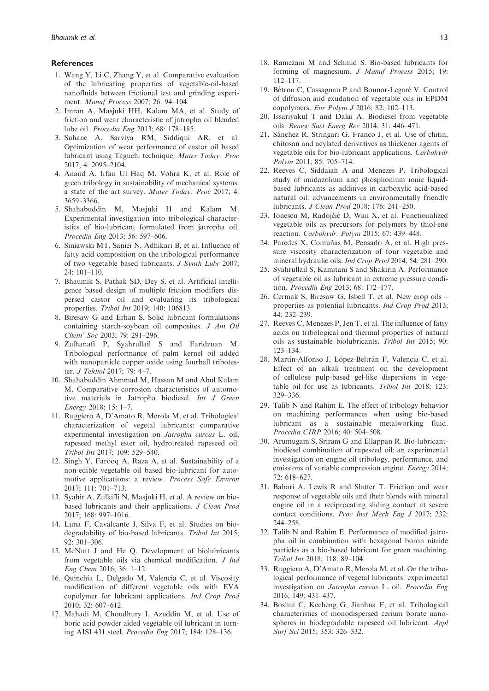#### References

- 1. Wang Y, Li C, Zhang Y, et al. Comparative evaluation of the lubricating properties of vegetable-oil-based nanofluids between frictional test and grinding experiment. Manuf Process 2007; 26: 94–104.
- 2. Imran A, Masjuki HH, Kalam MA, et al. Study of friction and wear characteristic of jatropha oil blended lube oil. Procedia Eng 2013; 68: 178–185.
- 3. Suhane A, Sarviya RM, Siddiqui AR, et al. Optimization of wear performance of castor oil based lubricant using Taguchi technique. Mater Today: Proc 2017; 4: 2095–2104.
- 4. Anand A, Irfan Ul Haq M, Vohra K, et al. Role of green tribology in sustainability of mechanical systems: a state of the art survey. Mater Today: Proc 2017; 4: 3659–3366.
- 5. Shahabuddin M, Masjuki H and Kalam M. Experimental investigation into tribological characteristics of bio-lubricant formulated from jatropha oil. Procedia Eng 2013; 56: 597–606.
- 6. Siniawski MT, Saniei N, Adhikari B, et al. Influence of fatty acid composition on the tribological performance of two vegetable based lubricants. J Synth Lubr 2007; 24: 101–110.
- 7. Bhaumik S, Pathak SD, Dey S, et al. Artificial intelligence based design of multiple friction modifiers dispersed castor oil and evaluating its tribological properties. Tribol Int 2019; 140: 106813.
- 8. Biresaw G and Erhan S. Solid lubricant formulations containing starch-soybean oil composites. J Am Oil Chem' Soc 2003; 79: 291–296.
- 9. Zulhanafi P, Syahrullail S and Faridzuan M. Tribological performance of palm kernel oil added with nanoparticle copper oxide using fourball tribotester. J Teknol 2017; 79: 4–7.
- 10. Shahabuddin Ahmmad M, Hassan M and Abul Kalam M. Comparative corrosion characteristics of automotive materials in Jatropha biodiesel. Int J Green Energy 2018; 15: 1–7.
- 11. Ruggiero A, D'Amato R, Merola M, et al. Tribological characterization of vegetal lubricants: comparative experimental investigation on Jatropha curcas L. oil, rapeseed methyl ester oil, hydrotreated rapeseed oil. Tribol Int 2017; 109: 529–540.
- 12. Singh Y, Farooq A, Raza A, et al. Sustainability of a non-edible vegetable oil based bio-lubricant for automotive applications: a review. Process Safe Environ 2017; 111: 701–713.
- 13. Syahir A, Zulkifli N, Masjuki H, et al. A review on biobased lubricants and their applications. J Clean Prod 2017; 168: 997–1016.
- 14. Luna F, Cavalcante J, Silva F, et al. Studies on biodegradability of bio-based lubricants. Tribol Int 2015; 92: 301–306.
- 15. McNutt J and He Q. Development of biolubricants from vegetable oils via chemical modification. J Ind Eng Chem 2016; 36: 1–12.
- 16. Quinchia L, Delgado M, Valencia C, et al. Viscosity modification of different vegetable oils with EVA copolymer for lubricant applications. Ind Crop Prod 2010; 32: 607–612.
- 17. Mahadi M, Choudhury I, Azuddin M, et al. Use of boric acid powder aided vegetable oil lubricant in turning AISI 431 steel. Procedia Eng 2017; 184: 128–136.
- 18. Ramezani M and Schmid S. Bio-based lubricants for forming of magnesium. J Manuf Process 2015; 19: 112–117.
- 19. Bétron C, Cassagnau P and Bounor-Legaré V. Control of diffusion and exudation of vegetable oils in EPDM copolymers. Eur Polym J 2016; 82: 102–113.
- 20. Issariyakul T and Dalai A. Biodiesel from vegetable oils. Renew Sust Energ Rev 2014; 31: 446–471.
- 21. Sánchez R, Stringari G, Franco J, et al. Use of chitin, chitosan and acylated derivatives as thickener agents of vegetable oils for bio-lubricant applications. Carbohydr Polym 2011; 85: 705–714.
- 22. Reeves C, Siddaiah A and Menezes P. Tribological study of imidazolium and phosphonium ionic liquidbased lubricants as additives in carboxylic acid-based natural oil: advancements in environmentally friendly lubricants. J Clean Prod 2018; 176: 241–250.
- 23. Ionescu M, Radojčić D, Wan X, et al. Functionalized vegetable oils as precursors for polymers by thiol-ene reaction. Carbohydr. Polym 2015; 67: 439–448.
- 24. Paredes X, Comuñas M, Pensado A, et al. High pressure viscosity characterization of four vegetable and mineral hydraulic oils. Ind Crop Prod 2014; 54: 281–290.
- 25. Syahrullail S, Kamitani S and Shakirin A. Performance of vegetable oil as lubricant in extreme pressure condition. Procedia Eng 2013; 68: 172–177.
- 26. Cermak S, Biresaw G, Isbell T, et al. New crop oils properties as potential lubricants. Ind Crop Prod 2013; 44: 232–239.
- 27. Reeves C, Menezes P, Jen T, et al. The influence of fatty acids on tribological and thermal properties of natural oils as sustainable biolubricants. Tribol Int 2015; 90: 123–134.
- 28. Martín-Alfonso J, López-Beltrán F, Valencia C, et al. Effect of an alkali treatment on the development of cellulose pulp-based gel-like dispersions in vegetable oil for use as lubricants. Tribol Int 2018; 123: 329–336.
- 29. Talib N and Rahim E. The effect of tribology behavior on machining performances when using bio-based lubricant as a sustainable metalworking fluid. Procedia CIRP 2016; 40: 504–508.
- 30. Arumugam S, Sriram G and Ellappan R. Bio-lubricantbiodiesel combination of rapeseed oil: an experimental investigation on engine oil tribology, performance, and emissions of variable compression engine. Energy 2014; 72: 618–627.
- 31. Bahari A, Lewis R and Slatter T. Friction and wear response of vegetable oils and their blends with mineral engine oil in a reciprocating sliding contact at severe contact conditions. Proc Inst Mech Eng J 2017; 232: 244–258.
- 32. Talib N and Rahim E. Performance of modified jatropha oil in combination with hexagonal boron nitride particles as a bio-based lubricant for green machining. Tribol Int 2018; 118: 89–104.
- 33. Ruggiero A, D'Amato R, Merola M, et al. On the tribological performance of vegetal lubricants: experimental investigation on Jatropha curcas L. oil. Procedia Eng 2016; 149: 431–437.
- 34. Boshui C, Kecheng G, Jianhua F, et al. Tribological characteristics of monodispersed cerium borate nanospheres in biodegradable rapeseed oil lubricant. Appl Surf Sci 2015; 353: 326–332.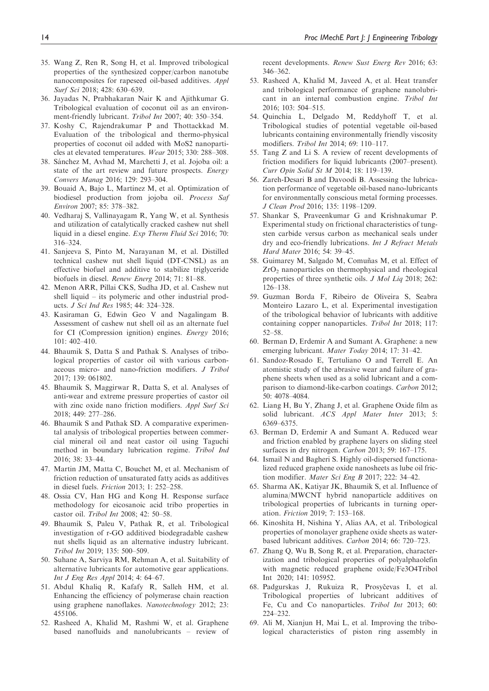- 35. Wang Z, Ren R, Song H, et al. Improved tribological properties of the synthesized copper/carbon nanotube nanocomposites for rapeseed oil-based additives. Appl Surf Sci 2018; 428: 630–639.
- 36. Jayadas N, Prabhakaran Nair K and Ajithkumar G. Tribological evaluation of coconut oil as an environment-friendly lubricant. Tribol Int 2007; 40: 350–354.
- 37. Koshy C, Rajendrakumar P and Thottackkad M. Evaluation of the tribological and thermo-physical properties of coconut oil added with MoS2 nanoparticles at elevated temperatures. Wear 2015; 330: 288–308.
- 38. Sánchez M, Avhad M, Marchetti J, et al. Jojoba oil: a state of the art review and future prospects. Energy Convers Manag 2016; 129: 293–304.
- 39. Bouaid A, Bajo L, Martinez M, et al. Optimization of biodiesel production from jojoba oil. Process Saf Environ 2007; 85: 378–382.
- 40. Vedharaj S, Vallinayagam R, Yang W, et al. Synthesis and utilization of catalytically cracked cashew nut shell liquid in a diesel engine. Exp Therm Fluid Sci 2016; 70: 316–324.
- 41. Sanjeeva S, Pinto M, Narayanan M, et al. Distilled technical cashew nut shell liquid (DT-CNSL) as an effective biofuel and additive to stabilize triglyceride biofuels in diesel. Renew Energ 2014; 71: 81–88.
- 42. Menon ARR, Pillai CKS, Sudha JD, et al. Cashew nut shell liquid – its polymeric and other industrial products. J Sci Ind Res 1985; 44: 324–328.
- 43. Kasiraman G, Edwin Geo V and Nagalingam B. Assessment of cashew nut shell oil as an alternate fuel for CI (Compression ignition) engines. Energy 2016; 101: 402–410.
- 44. Bhaumik S, Datta S and Pathak S. Analyses of tribological properties of castor oil with various carbonaceous micro- and nano-friction modifiers. J Tribol 2017; 139: 061802.
- 45. Bhaumik S, Maggirwar R, Datta S, et al. Analyses of anti-wear and extreme pressure properties of castor oil with zinc oxide nano friction modifiers. Appl Surf Sci 2018; 449: 277–286.
- 46. Bhaumik S and Pathak SD. A comparative experimental analysis of tribological properties between commercial mineral oil and neat castor oil using Taguchi method in boundary lubrication regime. Tribol Ind 2016; 38: 33–44.
- 47. Martin JM, Matta C, Bouchet M, et al. Mechanism of friction reduction of unsaturated fatty acids as additives in diesel fuels. Friction 2013; 1: 252–258.
- 48. Ossia CV, Han HG and Kong H. Response surface methodology for eicosanoic acid tribo properties in castor oil. Tribol Int 2008; 42: 50–58.
- 49. Bhaumik S, Paleu V, Pathak R, et al. Tribological investigation of r-GO additived biodegradable cashew nut shells liquid as an alternative industry lubricant. Tribol Int 2019; 135: 500–509.
- 50. Suhane A, Sarviya RM, Rehman A, et al. Suitability of alternative lubricants for automotive gear applications. Int J Eng Res Appl 2014; 4: 64–67.
- 51. Abdul Khaliq R, Kafafy R, Salleh HM, et al. Enhancing the efficiency of polymerase chain reaction using graphene nanoflakes. Nanotechnology 2012; 23: 455106.
- 52. Rasheed A, Khalid M, Rashmi W, et al. Graphene based nanofluids and nanolubricants – review of

recent developments. Renew Sust Energ Rev 2016; 63: 346–362.

- 53. Rasheed A, Khalid M, Javeed A, et al. Heat transfer and tribological performance of graphene nanolubricant in an internal combustion engine. Tribol Int 2016; 103: 504–515.
- 54. Quinchia L, Delgado M, Reddyhoff T, et al. Tribological studies of potential vegetable oil-based lubricants containing environmentally friendly viscosity modifiers. Tribol Int 2014; 69: 110–117.
- 55. Tang Z and Li S. A review of recent developments of friction modifiers for liquid lubricants (2007–present). Curr Opin Solid St M 2014; 18: 119–139.
- 56. Zareh-Desari B and Davoodi B. Assessing the lubrication performance of vegetable oil-based nano-lubricants for environmentally conscious metal forming processes. J Clean Prod 2016; 135: 1198–1209.
- 57. Shankar S, Praveenkumar G and Krishnakumar P. Experimental study on frictional characteristics of tungsten carbide versus carbon as mechanical seals under dry and eco-friendly lubrications. Int J Refract Metals Hard Mater 2016; 54: 39–45.
- 58. Guimarey M, Salgado M, Comuñas M, et al. Effect of  $ZrO<sub>2</sub>$  nanoparticles on thermophysical and rheological properties of three synthetic oils. J Mol Liq 2018; 262: 126–138.
- 59. Guzman Borda F, Ribeiro de Oliveira S, Seabra Monteiro Lazaro L, et al. Experimental investigation of the tribological behavior of lubricants with additive containing copper nanoparticles. Tribol Int 2018; 117: 52–58.
- 60. Berman D, Erdemir A and Sumant A. Graphene: a new emerging lubricant. Mater Today 2014; 17: 31–42.
- 61. Sandoz-Rosado E, Tertuliano O and Terrell E. An atomistic study of the abrasive wear and failure of graphene sheets when used as a solid lubricant and a comparison to diamond-like-carbon coatings. Carbon 2012; 50: 4078–4084.
- 62. Liang H, Bu Y, Zhang J, et al. Graphene Oxide film as solid lubricant. ACS Appl Mater Inter 2013; 5: 6369–6375.
- 63. Berman D, Erdemir A and Sumant A. Reduced wear and friction enabled by graphene layers on sliding steel surfaces in dry nitrogen. Carbon 2013; 59: 167–175.
- 64. Ismail N and Bagheri S. Highly oil-dispersed functionalized reduced graphene oxide nanosheets as lube oil friction modifier. Mater Sci Eng B 2017; 222: 34–42.
- 65. Sharma AK, Katiyar JK, Bhaumik S, et al. Influence of alumina/MWCNT hybrid nanoparticle additives on tribological properties of lubricants in turning operation. Friction 2019; 7: 153–168.
- 66. Kinoshita H, Nishina Y, Alias AA, et al. Tribological properties of monolayer graphene oxide sheets as waterbased lubricant additives. Carbon 2014; 66: 720–723.
- 67. Zhang Q, Wu B, Song R, et al. Preparation, characterization and tribological properties of polyalphaolefin with magnetic reduced graphene oxide/Fe3O4Tribol Int 2020; 141: 105952.
- 68. Padgurskas J, Rukuiza R, Prosyčevas I, et al. Tribological properties of lubricant additives of Fe, Cu and Co nanoparticles. Tribol Int 2013; 60: 224–232.
- 69. Ali M, Xianjun H, Mai L, et al. Improving the tribological characteristics of piston ring assembly in